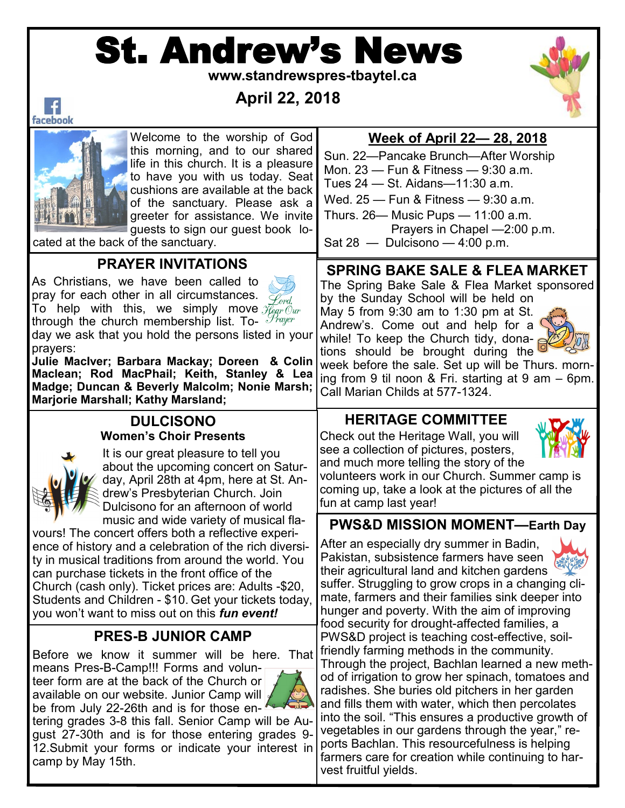# St. Andrew's News

 **www.standrewspres-tbaytel.ca**



# **April 22, 2018**



 $\vert f \vert$ 

Welcome to the worship of God this morning, and to our shared life in this church. It is a pleasure to have you with us today. Seat cushions are available at the back of the sanctuary. Please ask a greeter for assistance. We invite guests to sign our guest book lo-

cated at the back of the sanctuary.

#### **PRAYER INVITATIONS**

As Christians, we have been called to pray for each other in all circumstances. To help with this, we simply move  $\widetilde{\mathcal{H}}_{\!\!q\!q\!r}\widetilde{\mathcal{O}}_{\!u\!r}$ through the church membership list. To-  $\mathcal{P}_{\text{rayer}}$ day we ask that you hold the persons listed in your prayers:

**Julie MacIver; Barbara Mackay; Doreen & Colin Maclean; Rod MacPhail; Keith, Stanley & Lea Madge; Duncan & Beverly Malcolm; Nonie Marsh; Marjorie Marshall; Kathy Marsland;** 

#### **DULCISONO Women's Choir Presents**



It is our great pleasure to tell you about the upcoming concert on Saturday, April 28th at 4pm, here at St. Andrew's Presbyterian Church. Join Dulcisono for an afternoon of world music and wide variety of musical fla-

vours! The concert offers both a reflective experience of history and a celebration of the rich diversity in musical traditions from around the world. You can purchase tickets in the front office of the Church (cash only). Ticket prices are: Adults -\$20, Students and Children - \$10. Get your tickets today, you won't want to miss out on this *fun event!*

#### **PRES-B JUNIOR CAMP**

Before we know it summer will be here. That means Pres-B-Camp!!! Forms and volun-

teer form are at the back of the Church or available on our website. Junior Camp will be from July 22-26th and is for those en-



tering grades 3-8 this fall. Senior Camp will be August 27-30th and is for those entering grades 9- 12.Submit your forms or indicate your interest in camp by May 15th.

# **Week of April 22— 28, 2018**

Sun. 22—Pancake Brunch—After Worship Mon. 23 — Fun & Fitness — 9:30 a.m. Tues 24 — St. Aidans—11:30 a.m. Wed. 25 — Fun & Fitness — 9:30 a.m. Thurs. 26— Music Pups — 11:00 a.m. Prayers in Chapel —2:00 p.m.

Sat  $28 -$  Dulcisono  $-4:00$  p.m.

# **SPRING BAKE SALE & FLEA MARKET**

The Spring Bake Sale & Flea Market sponsored by the Sunday School will be held on

May 5 from 9:30 am to 1:30 pm at St. Andrew's. Come out and help for a while! To keep the Church tidy, donations should be brought during the



week before the sale. Set up will be Thurs. morning from 9 til noon & Fri. starting at 9 am – 6pm. Call Marian Childs at 577-1324.

## **HERITAGE COMMITTEE**

Check out the Heritage Wall, you will see a collection of pictures, posters, and much more telling the story of the



volunteers work in our Church. Summer camp is coming up, take a look at the pictures of all the fun at camp last year!

#### **PWS&D MISSION MOMENT—Earth Day**

After an especially dry summer in Badin, Pakistan, subsistence farmers have seen their agricultural land and kitchen gardens suffer. Struggling to grow crops in a changing climate, farmers and their families sink deeper into hunger and poverty. With the aim of improving food security for drought-affected families, a PWS&D project is teaching cost-effective, soilfriendly farming methods in the community. Through the project, Bachlan learned a new method of irrigation to grow her spinach, tomatoes and radishes. She buries old pitchers in her garden and fills them with water, which then percolates into the soil. "This ensures a productive growth of vegetables in our gardens through the year," reports Bachlan. This resourcefulness is helping farmers care for creation while continuing to harvest fruitful yields.